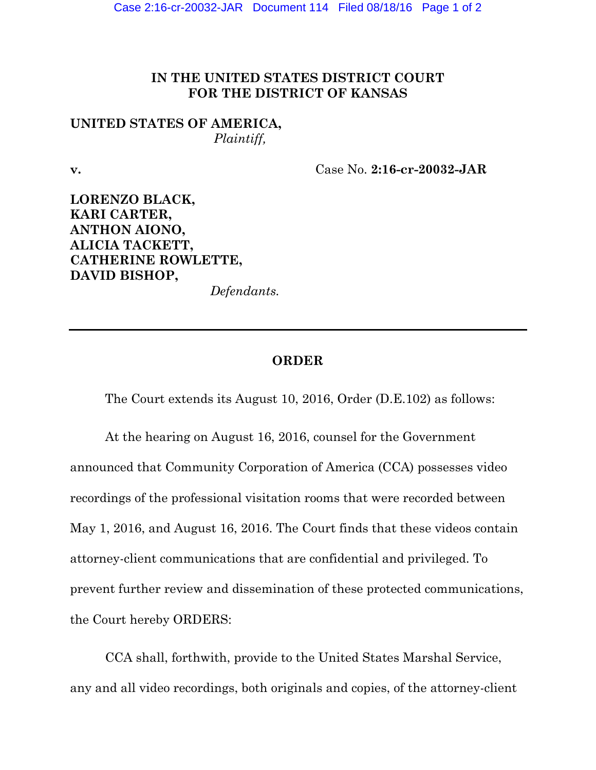## **IN THE UNITED STATES DISTRICT COURT FOR THE DISTRICT OF KANSAS**

## **UNITED STATES OF AMERICA,** *Plaintiff,*

**v.** Case No. **2:16-cr-20032-JAR** 

**LORENZO BLACK, KARI CARTER, ANTHON AIONO, ALICIA TACKETT, CATHERINE ROWLETTE, DAVID BISHOP,** 

*Defendants.* 

## **ORDER**

The Court extends its August 10, 2016, Order (D.E.102) as follows:

At the hearing on August 16, 2016, counsel for the Government announced that Community Corporation of America (CCA) possesses video recordings of the professional visitation rooms that were recorded between May 1, 2016, and August 16, 2016. The Court finds that these videos contain attorney-client communications that are confidential and privileged. To prevent further review and dissemination of these protected communications, the Court hereby ORDERS:

CCA shall, forthwith, provide to the United States Marshal Service, any and all video recordings, both originals and copies, of the attorney-client